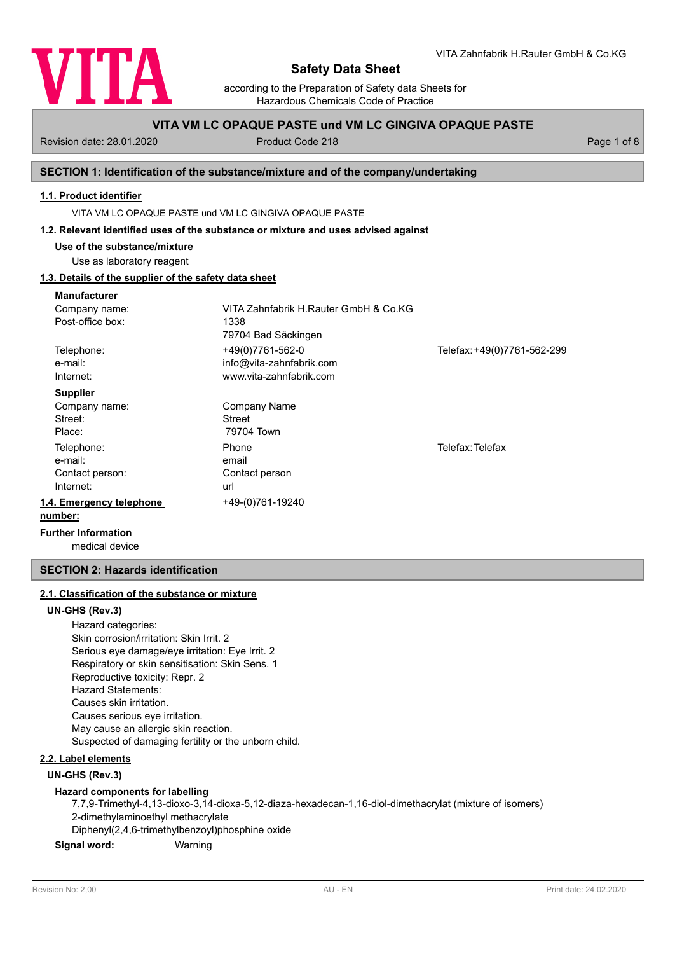

according to the Preparation of Safety data Sheets for Hazardous Chemicals Code of Practice

# **VITA VM LC OPAQUE PASTE und VM LC GINGIVA OPAQUE PASTE**

Revision date: 28.01.2020 Product Code 218 Product Code 218 Page 1 of 8

# **SECTION 1: Identification of the substance/mixture and of the company/undertaking**

# **1.1. Product identifier**

VITA VM LC OPAQUE PASTE und VM LC GINGIVA OPAQUE PASTE

#### **1.2. Relevant identified uses of the substance or mixture and uses advised against**

**Use of the substance/mixture**

Use as laboratory reagent

# **1.3. Details of the supplier of the safety data sheet**

| <b>Manufacturer</b>        |                                       |                             |  |  |
|----------------------------|---------------------------------------|-----------------------------|--|--|
| Company name:              | VITA Zahnfabrik H.Rauter GmbH & Co.KG |                             |  |  |
| Post-office box:           | 1338                                  |                             |  |  |
|                            | 79704 Bad Säckingen                   |                             |  |  |
| Telephone:                 | +49(0)7761-562-0                      | Telefax: +49(0)7761-562-299 |  |  |
| e-mail:                    | info@vita-zahnfabrik.com              |                             |  |  |
| Internet:                  | www.vita-zahnfabrik.com               |                             |  |  |
| <b>Supplier</b>            |                                       |                             |  |  |
| Company name:              | Company Name                          |                             |  |  |
| Street:                    | <b>Street</b>                         |                             |  |  |
| Place:                     | 79704 Town                            |                             |  |  |
| Telephone:                 | Phone                                 | Telefax: Telefax            |  |  |
| e-mail:                    | email                                 |                             |  |  |
| Contact person:            | Contact person                        |                             |  |  |
| Internet:                  | url                                   |                             |  |  |
| 1.4. Emergency telephone   | +49-(0)761-19240                      |                             |  |  |
| number:                    |                                       |                             |  |  |
| <b>Further Information</b> |                                       |                             |  |  |

medical device

# **SECTION 2: Hazards identification**

# **2.1. Classification of the substance or mixture**

### **UN-GHS (Rev.3)**

Hazard categories: Skin corrosion/irritation: Skin Irrit. 2 Serious eye damage/eye irritation: Eye Irrit. 2 Respiratory or skin sensitisation: Skin Sens. 1 Reproductive toxicity: Repr. 2 Hazard Statements: Causes skin irritation. Causes serious eye irritation. May cause an allergic skin reaction. Suspected of damaging fertility or the unborn child.

# **2.2. Label elements**

#### **UN-GHS (Rev.3)**

#### **Hazard components for labelling**

7,7,9-Trimethyl-4,13-dioxo-3,14-dioxa-5,12-diaza-hexadecan-1,16-diol-dimethacrylat (mixture of isomers) 2-dimethylaminoethyl methacrylate Diphenyl(2,4,6-trimethylbenzoyl)phosphine oxide **Signal word:** Warning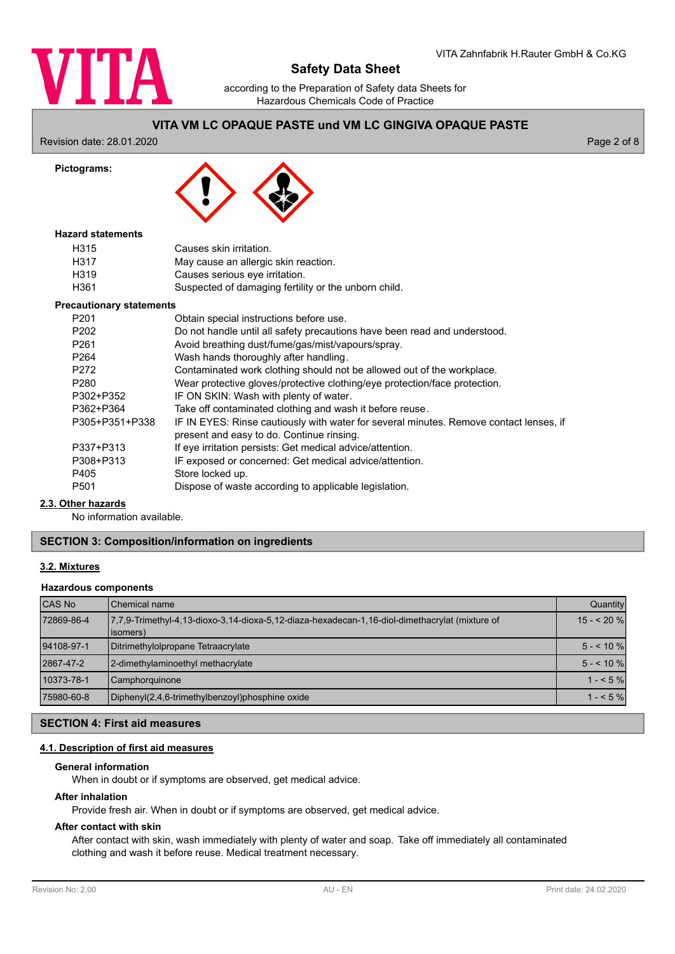

according to the Preparation of Safety data Sheets for Hazardous Chemicals Code of Practice

# **VITA VM LC OPAQUE PASTE und VM LC GINGIVA OPAQUE PASTE**

Revision date: 28.01.2020 Page 2 of 8

**Pictograms:**

## **Hazard statements**

| H315 | Causes skin irritation.                              |
|------|------------------------------------------------------|
| H317 | May cause an allergic skin reaction.                 |
| H319 | Causes serious eye irritation.                       |
| H361 | Suspected of damaging fertility or the unborn child. |

#### **Precautionary statements**

| P <sub>201</sub> | Obtain special instructions before use.                                                                                             |
|------------------|-------------------------------------------------------------------------------------------------------------------------------------|
| P <sub>202</sub> | Do not handle until all safety precautions have been read and understood.                                                           |
| P <sub>261</sub> | Avoid breathing dust/fume/gas/mist/vapours/spray.                                                                                   |
| P <sub>264</sub> | Wash hands thoroughly after handling.                                                                                               |
| P <sub>272</sub> | Contaminated work clothing should not be allowed out of the workplace.                                                              |
| P <sub>280</sub> | Wear protective gloves/protective clothing/eye protection/face protection.                                                          |
| P302+P352        | IF ON SKIN: Wash with plenty of water.                                                                                              |
| P362+P364        | Take off contaminated clothing and wash it before reuse.                                                                            |
| P305+P351+P338   | IF IN EYES: Rinse cautiously with water for several minutes. Remove contact lenses, if<br>present and easy to do. Continue rinsing. |
| P337+P313        | If eye irritation persists: Get medical advice/attention.                                                                           |
| P308+P313        | IF exposed or concerned: Get medical advice/attention.                                                                              |
| P405             | Store locked up.                                                                                                                    |
| P <sub>501</sub> | Dispose of waste according to applicable legislation.                                                                               |

### **2.3. Other hazards**

No information available.

# **SECTION 3: Composition/information on ingredients**

#### **3.2. Mixtures**

#### **Hazardous components**

| <b>CAS No</b> | Chemical name                                                                                               | Quantity   |
|---------------|-------------------------------------------------------------------------------------------------------------|------------|
| 72869-86-4    | 7.7.9-Trimethyl-4.13-dioxo-3.14-dioxa-5.12-diaza-hexadecan-1.16-diol-dimethacrylat (mixture of<br>(isomers) | $15 - 20%$ |
| 94108-97-1    | Ditrimethylolpropane Tetraacrylate                                                                          | $5 - 10\%$ |
| 2867-47-2     | 2-dimethylaminoethyl methacrylate                                                                           | $5 - 10%$  |
| 10373-78-1    | Camphorquinone                                                                                              | $1 - 5%$   |
| 75980-60-8    | Diphenyl(2,4,6-trimethylbenzoyl)phosphine oxide                                                             | $1 - 5%$   |

## **SECTION 4: First aid measures**

# **4.1. Description of first aid measures**

## **General information**

When in doubt or if symptoms are observed, get medical advice.

#### **After inhalation**

Provide fresh air. When in doubt or if symptoms are observed, get medical advice.

# **After contact with skin**

After contact with skin, wash immediately with plenty of water and soap. Take off immediately all contaminated clothing and wash it before reuse. Medical treatment necessary.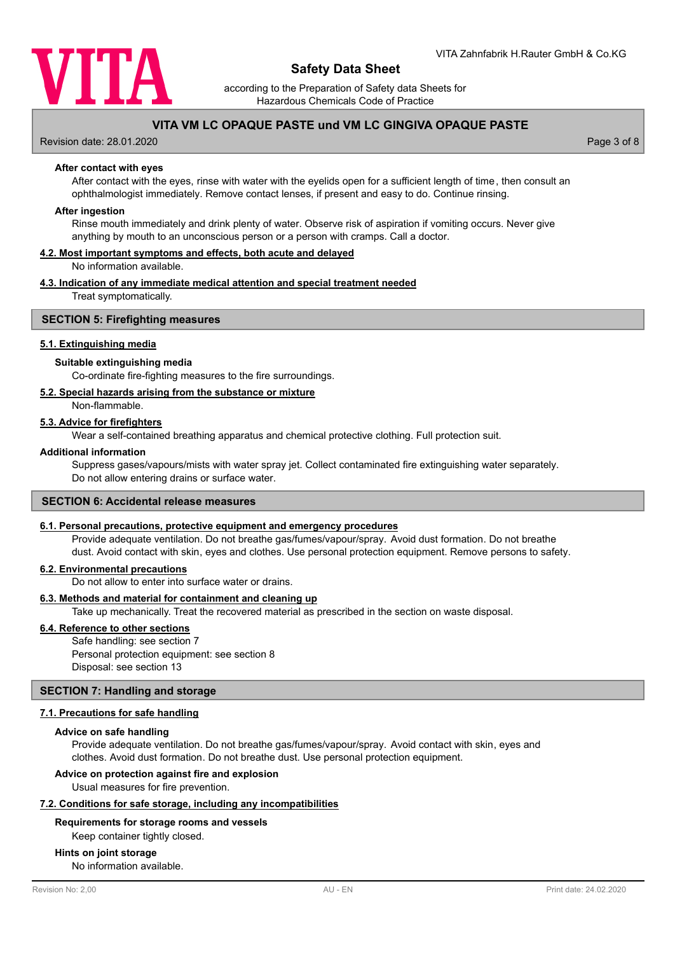

according to the Preparation of Safety data Sheets for Hazardous Chemicals Code of Practice

# **VITA VM LC OPAQUE PASTE und VM LC GINGIVA OPAQUE PASTE**

Revision date: 28.01.2020 Page 3 of 8

#### **After contact with eyes**

After contact with the eyes, rinse with water with the eyelids open for a sufficient length of time, then consult an ophthalmologist immediately. Remove contact lenses, if present and easy to do. Continue rinsing.

#### **After ingestion**

Rinse mouth immediately and drink plenty of water. Observe risk of aspiration if vomiting occurs. Never give anything by mouth to an unconscious person or a person with cramps. Call a doctor.

## **4.2. Most important symptoms and effects, both acute and delayed**

No information available.

#### **4.3. Indication of any immediate medical attention and special treatment needed**

Treat symptomatically.

#### **SECTION 5: Firefighting measures**

#### **5.1. Extinguishing media**

#### **Suitable extinguishing media**

Co-ordinate fire-fighting measures to the fire surroundings.

#### **5.2. Special hazards arising from the substance or mixture**

Non-flammable.

#### **5.3. Advice for firefighters**

Wear a self-contained breathing apparatus and chemical protective clothing. Full protection suit.

#### **Additional information**

Suppress gases/vapours/mists with water spray jet. Collect contaminated fire extinguishing water separately. Do not allow entering drains or surface water.

# **SECTION 6: Accidental release measures**

#### **6.1. Personal precautions, protective equipment and emergency procedures**

Provide adequate ventilation. Do not breathe gas/fumes/vapour/spray. Avoid dust formation. Do not breathe dust. Avoid contact with skin, eyes and clothes. Use personal protection equipment. Remove persons to safety.

#### **6.2. Environmental precautions**

Do not allow to enter into surface water or drains.

## **6.3. Methods and material for containment and cleaning up**

Take up mechanically. Treat the recovered material as prescribed in the section on waste disposal.

#### **6.4. Reference to other sections**

Safe handling: see section 7 Personal protection equipment: see section 8 Disposal: see section 13

#### **SECTION 7: Handling and storage**

#### **7.1. Precautions for safe handling**

#### **Advice on safe handling**

Provide adequate ventilation. Do not breathe gas/fumes/vapour/spray. Avoid contact with skin, eyes and clothes. Avoid dust formation. Do not breathe dust. Use personal protection equipment.

### **Advice on protection against fire and explosion**

Usual measures for fire prevention.

#### **7.2. Conditions for safe storage, including any incompatibilities**

## **Requirements for storage rooms and vessels**

Keep container tightly closed.

#### **Hints on joint storage**

No information available.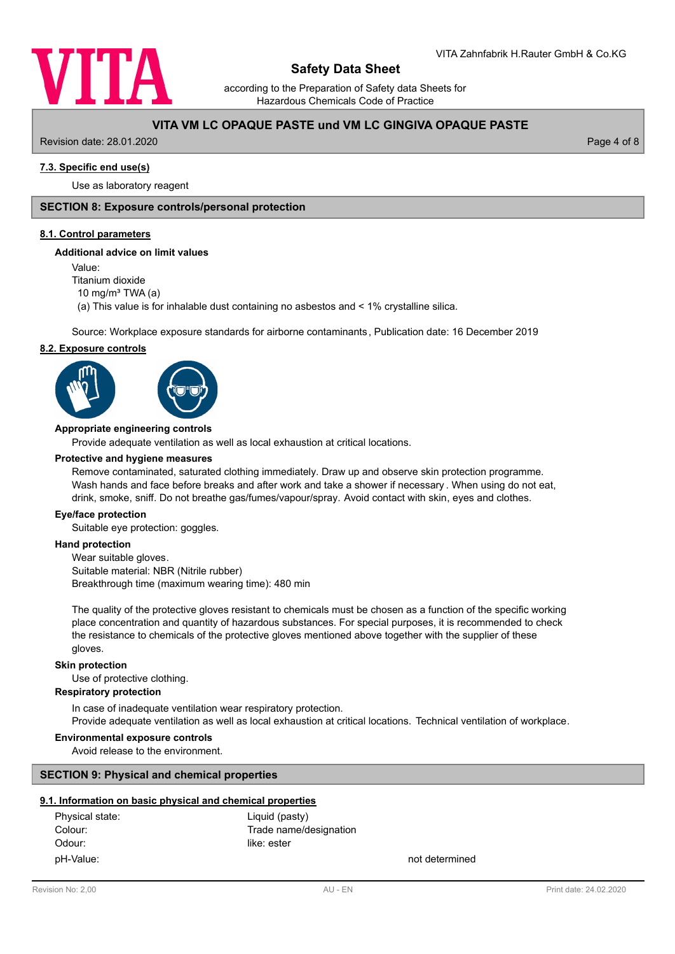

according to the Preparation of Safety data Sheets for Hazardous Chemicals Code of Practice

# **VITA VM LC OPAQUE PASTE und VM LC GINGIVA OPAQUE PASTE**

Revision date: 28.01.2020 Page 4 of 8

# **7.3. Specific end use(s)**

Use as laboratory reagent

# **SECTION 8: Exposure controls/personal protection**

#### **8.1. Control parameters**

#### **Additional advice on limit values**

Value:

Titanium dioxide

10 mg/m $3$  TWA (a)

(a) This value is for inhalable dust containing no asbestos and < 1% crystalline silica.

Source: Workplace exposure standards for airborne contaminants, Publication date: 16 December 2019

#### **8.2. Exposure controls**





#### **Appropriate engineering controls**

Provide adequate ventilation as well as local exhaustion at critical locations.

#### **Protective and hygiene measures**

Remove contaminated, saturated clothing immediately. Draw up and observe skin protection programme. Wash hands and face before breaks and after work and take a shower if necessary . When using do not eat, drink, smoke, sniff. Do not breathe gas/fumes/vapour/spray. Avoid contact with skin, eyes and clothes.

#### **Eye/face protection**

Suitable eye protection: goggles.

## **Hand protection**

Wear suitable gloves. Suitable material: NBR (Nitrile rubber) Breakthrough time (maximum wearing time): 480 min

The quality of the protective gloves resistant to chemicals must be chosen as a function of the specific working place concentration and quantity of hazardous substances. For special purposes, it is recommended to check the resistance to chemicals of the protective gloves mentioned above together with the supplier of these gloves.

#### **Skin protection**

Use of protective clothing.

#### **Respiratory protection**

In case of inadequate ventilation wear respiratory protection. Provide adequate ventilation as well as local exhaustion at critical locations. Technical ventilation of workplace.

#### **Environmental exposure controls**

Avoid release to the environment.

## **SECTION 9: Physical and chemical properties**

## **9.1. Information on basic physical and chemical properties**

| Physical state: | Liquid (pasty)         |                |
|-----------------|------------------------|----------------|
| Colour:         | Trade name/designation |                |
| Odour:          | like: ester            |                |
| pH-Value:       |                        | not determined |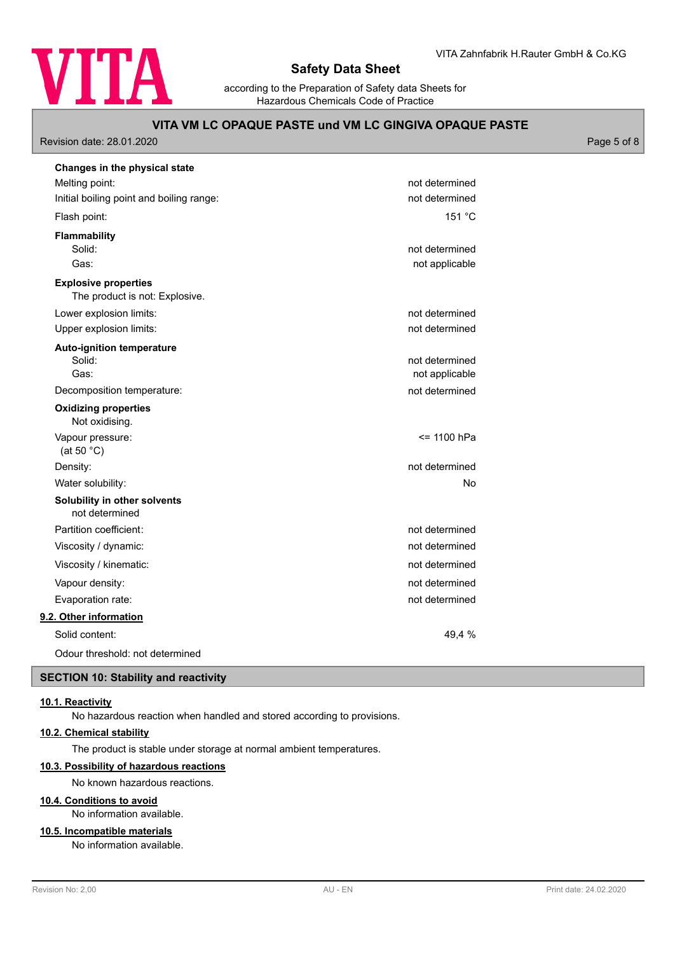

VITA Zahnfabrik H.Rauter GmbH & Co.KG

according to the Preparation of Safety data Sheets for Hazardous Chemicals Code of Practice

# **VITA VM LC OPAQUE PASTE und VM LC GINGIVA OPAQUE PASTE**

Revision date: 28.01.2020 Page 5 of 8

| Changes in the physical state                                 |                |
|---------------------------------------------------------------|----------------|
| Melting point:                                                | not determined |
| Initial boiling point and boiling range:                      | not determined |
| Flash point:                                                  | 151 °C         |
| Flammability                                                  |                |
| Solid:                                                        | not determined |
| Gas:                                                          | not applicable |
| <b>Explosive properties</b><br>The product is not: Explosive. |                |
| Lower explosion limits:                                       | not determined |
| Upper explosion limits:                                       | not determined |
| <b>Auto-ignition temperature</b>                              |                |
| Solid:                                                        | not determined |
| Gas:                                                          | not applicable |
| Decomposition temperature:                                    | not determined |
| <b>Oxidizing properties</b><br>Not oxidising.                 |                |
| Vapour pressure:<br>(at 50 $°C$ )                             | <= 1100 hPa    |
| Density:                                                      | not determined |
| Water solubility:                                             | <b>No</b>      |
| Solubility in other solvents<br>not determined                |                |
| Partition coefficient:                                        | not determined |
| Viscosity / dynamic:                                          | not determined |
| Viscosity / kinematic:                                        | not determined |
| Vapour density:                                               | not determined |
| Evaporation rate:                                             | not determined |
| 9.2. Other information                                        |                |
| Solid content:                                                | 49,4 %         |
| Odour threshold: not determined                               |                |

# **SECTION 10: Stability and reactivity**

## **10.1. Reactivity**

No hazardous reaction when handled and stored according to provisions.

# **10.2. Chemical stability**

The product is stable under storage at normal ambient temperatures.

# **10.3. Possibility of hazardous reactions**

No known hazardous reactions.

## **10.4. Conditions to avoid**

No information available.

# **10.5. Incompatible materials**

No information available.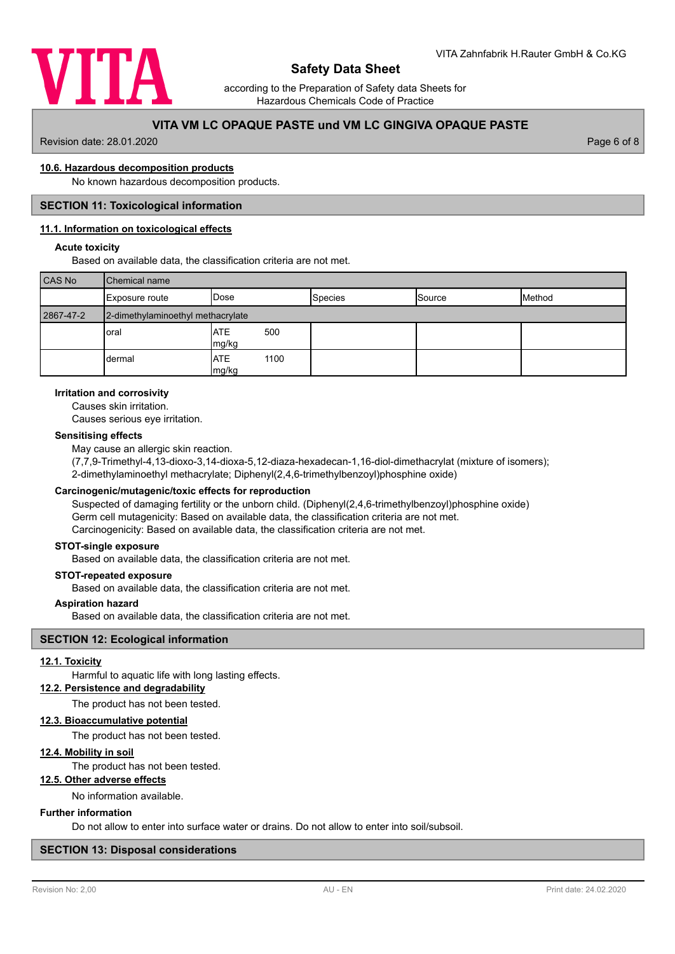

according to the Preparation of Safety data Sheets for Hazardous Chemicals Code of Practice

# **VITA VM LC OPAQUE PASTE und VM LC GINGIVA OPAQUE PASTE**

Revision date: 28.01.2020 Page 6 of 8

#### **10.6. Hazardous decomposition products**

No known hazardous decomposition products.

#### **SECTION 11: Toxicological information**

#### **11.1. Information on toxicological effects**

#### **Acute toxicity**

Based on available data, the classification criteria are not met.

| <b>CAS No</b> | <b>Chemical name</b>              |                             |                |        |        |
|---------------|-----------------------------------|-----------------------------|----------------|--------|--------|
|               | Exposure route                    | IDose                       | <b>Species</b> | Source | Method |
| 2867-47-2     | 2-dimethylaminoethyl methacrylate |                             |                |        |        |
|               | loral                             | <b>ATE</b><br>500<br>mg/kg  |                |        |        |
|               | dermal                            | <b>ATE</b><br>1100<br>mg/kg |                |        |        |

#### **Irritation and corrosivity**

Causes skin irritation.

Causes serious eye irritation.

### **Sensitising effects**

May cause an allergic skin reaction.

(7,7,9-Trimethyl-4,13-dioxo-3,14-dioxa-5,12-diaza-hexadecan-1,16-diol-dimethacrylat (mixture of isomers); 2-dimethylaminoethyl methacrylate; Diphenyl(2,4,6-trimethylbenzoyl)phosphine oxide)

# **Carcinogenic/mutagenic/toxic effects for reproduction**

Suspected of damaging fertility or the unborn child. (Diphenyl(2,4,6-trimethylbenzoyl)phosphine oxide) Germ cell mutagenicity: Based on available data, the classification criteria are not met. Carcinogenicity: Based on available data, the classification criteria are not met.

## **STOT-single exposure**

Based on available data, the classification criteria are not met.

### **STOT-repeated exposure**

Based on available data, the classification criteria are not met.

#### **Aspiration hazard**

Based on available data, the classification criteria are not met.

## **SECTION 12: Ecological information**

#### **12.1. Toxicity**

Harmful to aquatic life with long lasting effects.

## **12.2. Persistence and degradability**

The product has not been tested.

### **12.3. Bioaccumulative potential**

The product has not been tested.

# **12.4. Mobility in soil**

The product has not been tested.

# **12.5. Other adverse effects**

No information available.

#### **Further information**

Do not allow to enter into surface water or drains. Do not allow to enter into soil/subsoil.

## **SECTION 13: Disposal considerations**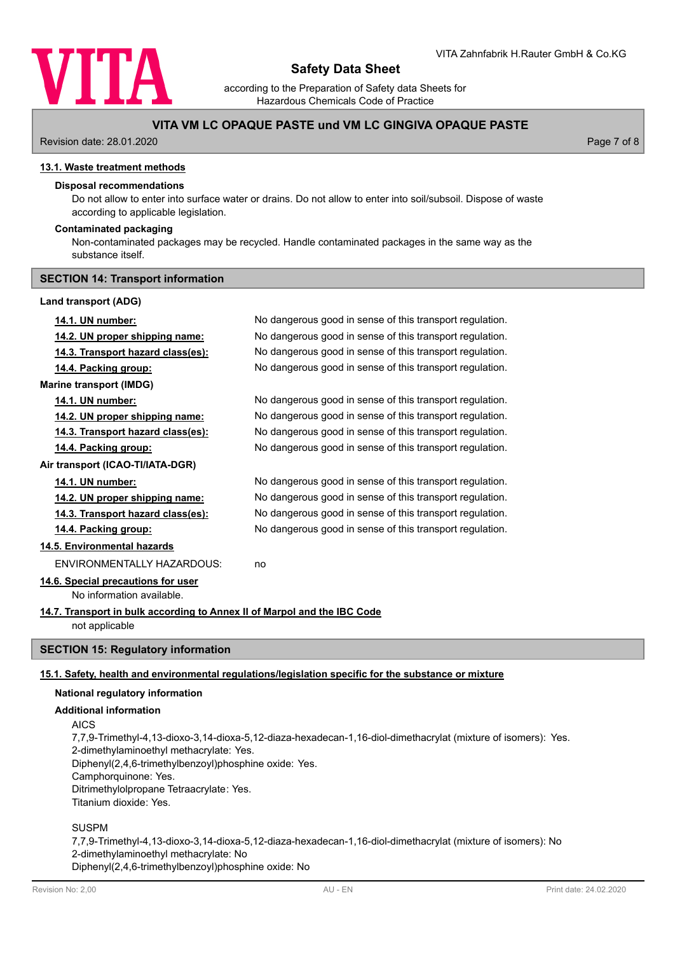

according to the Preparation of Safety data Sheets for Hazardous Chemicals Code of Practice

# **VITA VM LC OPAQUE PASTE und VM LC GINGIVA OPAQUE PASTE**

Revision date: 28.01.2020 Page 7 of 8

#### **13.1. Waste treatment methods**

#### **Disposal recommendations**

Do not allow to enter into surface water or drains. Do not allow to enter into soil/subsoil. Dispose of waste according to applicable legislation.

## **Contaminated packaging**

Non-contaminated packages may be recycled. Handle contaminated packages in the same way as the substance itself.

#### **SECTION 14: Transport information**

#### **Land transport (ADG)**

| 14.1. UN number:                                                         | No dangerous good in sense of this transport regulation. |
|--------------------------------------------------------------------------|----------------------------------------------------------|
| 14.2. UN proper shipping name:                                           | No dangerous good in sense of this transport regulation. |
| <u>14.3. Transport hazard class(es):</u>                                 | No dangerous good in sense of this transport regulation. |
| 14.4. Packing group:                                                     | No dangerous good in sense of this transport regulation. |
| <b>Marine transport (IMDG)</b>                                           |                                                          |
| 14.1. UN number:                                                         | No dangerous good in sense of this transport regulation. |
| 14.2. UN proper shipping name:                                           | No dangerous good in sense of this transport regulation. |
| 14.3. Transport hazard class(es):                                        | No dangerous good in sense of this transport regulation. |
| 14.4. Packing group:                                                     | No dangerous good in sense of this transport regulation. |
| Air transport (ICAO-TI/IATA-DGR)                                         |                                                          |
| 14.1. UN number:                                                         | No dangerous good in sense of this transport regulation. |
| 14.2. UN proper shipping name:                                           | No dangerous good in sense of this transport regulation. |
| 14.3. Transport hazard class(es):                                        | No dangerous good in sense of this transport regulation. |
| 14.4. Packing group:                                                     | No dangerous good in sense of this transport regulation. |
| 14.5. Environmental hazards                                              |                                                          |
| <b>FNVIRONMENTALLY HAZARDOUS:</b>                                        | no                                                       |
| 14.6. Special precautions for user                                       |                                                          |
| No information available.                                                |                                                          |
| 14.7. Transport in bulk according to Annex II of Marpol and the IBC Code |                                                          |
| not applicable                                                           |                                                          |

#### **SECTION 15: Regulatory information**

#### **15.1. Safety, health and environmental regulations/legislation specific for the substance or mixture**

### **National regulatory information**

#### **Additional information**

AICS

7,7,9-Trimethyl-4,13-dioxo-3,14-dioxa-5,12-diaza-hexadecan-1,16-diol-dimethacrylat (mixture of isomers): Yes. 2-dimethylaminoethyl methacrylate: Yes. Diphenyl(2,4,6-trimethylbenzoyl)phosphine oxide: Yes. Camphorquinone: Yes. Ditrimethylolpropane Tetraacrylate: Yes. Titanium dioxide: Yes.

SUSPM

7,7,9-Trimethyl-4,13-dioxo-3,14-dioxa-5,12-diaza-hexadecan-1,16-diol-dimethacrylat (mixture of isomers): No 2-dimethylaminoethyl methacrylate: No Diphenyl(2,4,6-trimethylbenzoyl)phosphine oxide: No